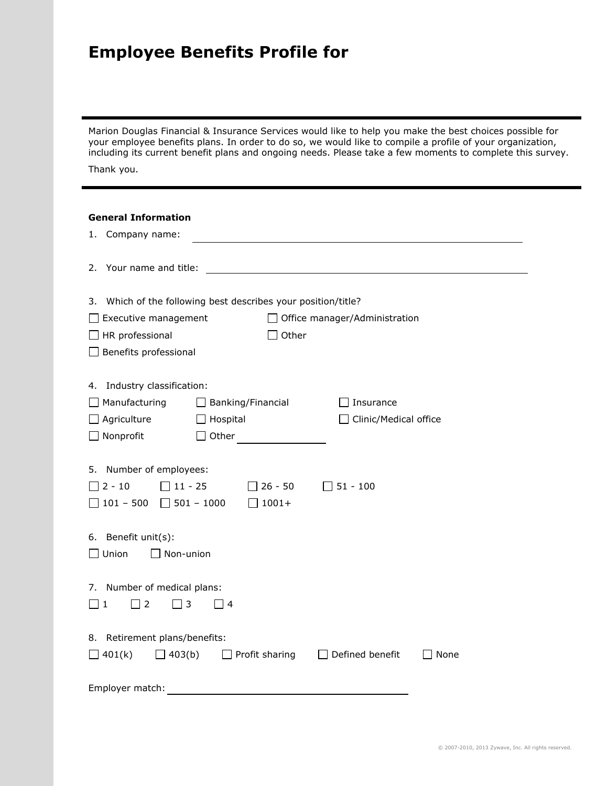## **Employee Benefits Profile for**

Marion Douglas Financial & Insurance Services would like to help you make the best choices possible for your employee benefits plans. In order to do so, we would like to compile a profile of your organization, including its current benefit plans and ongoing needs. Please take a few moments to complete this survey.

Thank you.

## **General Information**

| Company name:<br>1.                                                  |                                                            |                               |      |
|----------------------------------------------------------------------|------------------------------------------------------------|-------------------------------|------|
| Your name and title:<br>2.                                           |                                                            |                               |      |
| 3.                                                                   | Which of the following best describes your position/title? |                               |      |
| Executive management                                                 |                                                            | Office manager/Administration |      |
| $\Box$ HR professional                                               | Other                                                      |                               |      |
| Benefits professional                                                |                                                            |                               |      |
| Industry classification:<br>4.                                       |                                                            |                               |      |
| Manufacturing                                                        | Banking/Financial                                          | Insurance                     |      |
| Agriculture                                                          | Hospital                                                   | Clinic/Medical office         |      |
| $\Box$ Nonprofit                                                     | Other                                                      |                               |      |
| 5. Number of employees:<br>$2 - 10$<br>$\Box$ 11 - 25<br>$101 - 500$ | $26 - 50$<br>$1001 +$<br>$\Box$ 501 - 1000                 | $\Box$ 51 - 100               |      |
| 6. Benefit unit(s):<br>$\square$ Union<br>Non-union                  |                                                            |                               |      |
| 7. Number of medical plans:<br>$\Box$ 3<br>$\Box$ 2<br>$\sqcup$ 1    | $\overline{a}$                                             |                               |      |
| 8. Retirement plans/benefits:<br>$\Box$ 403(b)<br>$\Box$ 401(k)      | $\Box$ Profit sharing                                      | $\Box$ Defined benefit        | None |
| Employer match:                                                      |                                                            |                               |      |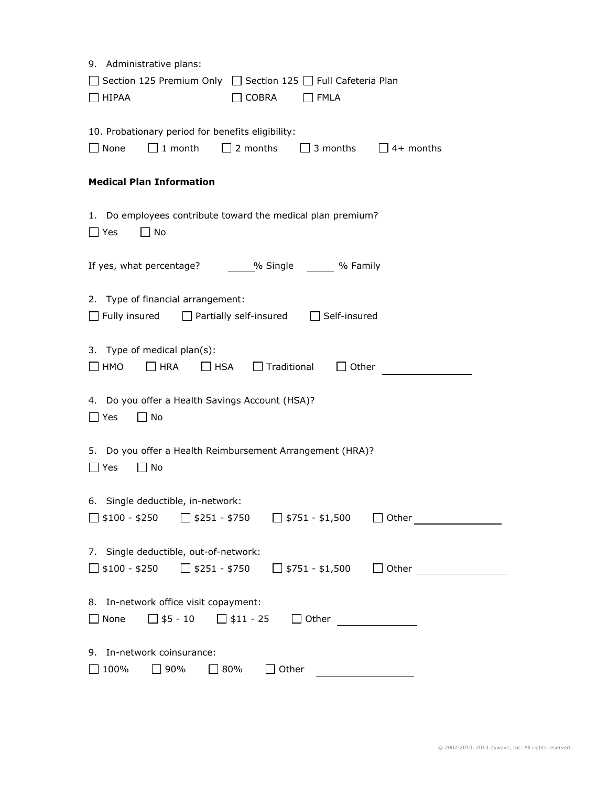| 9. Administrative plans:<br>Section 125 Premium Only<br>□ Section 125 □ Full Cafeteria Plan<br>$\Box$ HIPAA<br><b>COBRA</b><br>$\Box$ FMLA                                                                                                                                                                                                                |
|-----------------------------------------------------------------------------------------------------------------------------------------------------------------------------------------------------------------------------------------------------------------------------------------------------------------------------------------------------------|
| 10. Probationary period for benefits eligibility:<br>$\Box$ 2 months<br>$\Box$ None<br>$\Box$ 1 month<br>$\Box$ 3 months<br>$\Box$ 4+ months                                                                                                                                                                                                              |
| <b>Medical Plan Information</b>                                                                                                                                                                                                                                                                                                                           |
| 1. Do employees contribute toward the medical plan premium?<br>$\Box$ No<br>$\square$ Yes                                                                                                                                                                                                                                                                 |
| If yes, what percentage? ______% Single ______ % Family                                                                                                                                                                                                                                                                                                   |
| 2. Type of financial arrangement:<br>$\Box$ Fully insured<br>$\Box$ Partially self-insured<br>$\Box$ Self-insured                                                                                                                                                                                                                                         |
| 3. Type of medical plan(s):<br>$\Box$ HRA<br>$\Box$ Traditional<br>$\Box$ HMO<br>$\Box$ HSA<br>Other                                                                                                                                                                                                                                                      |
| 4. Do you offer a Health Savings Account (HSA)?<br>$\Box$ No<br>$\square$ Yes                                                                                                                                                                                                                                                                             |
| 5. Do you offer a Health Reimbursement Arrangement (HRA)?<br>$\Box$ No<br>$\Box$ Yes                                                                                                                                                                                                                                                                      |
| 6. Single deductible, in-network:<br>$\Box$ \$100 - \$250 $\Box$ \$251 - \$750 $\Box$ \$751 - \$1,500<br>$\perp$                                                                                                                                                                                                                                          |
| 7. Single deductible, out-of-network:<br>□ \$100 - \$250<br>$\Box$ \$251 - \$750 $\Box$ \$751 - \$1,500<br>Other and the control of the control of the control of the control of the control of the control of the control of the control of the control of the control of the control of the control of the control of the control of th<br>$\mathbf{L}$ |
| 8. In-network office visit copayment:<br>$\Box$ \$5 - 10 $\Box$ \$11 - 25 $\Box$ Other<br>$\Box$ None                                                                                                                                                                                                                                                     |
| 9. In-network coinsurance:<br>100%<br>90%<br>80%<br>$\Box$ Other                                                                                                                                                                                                                                                                                          |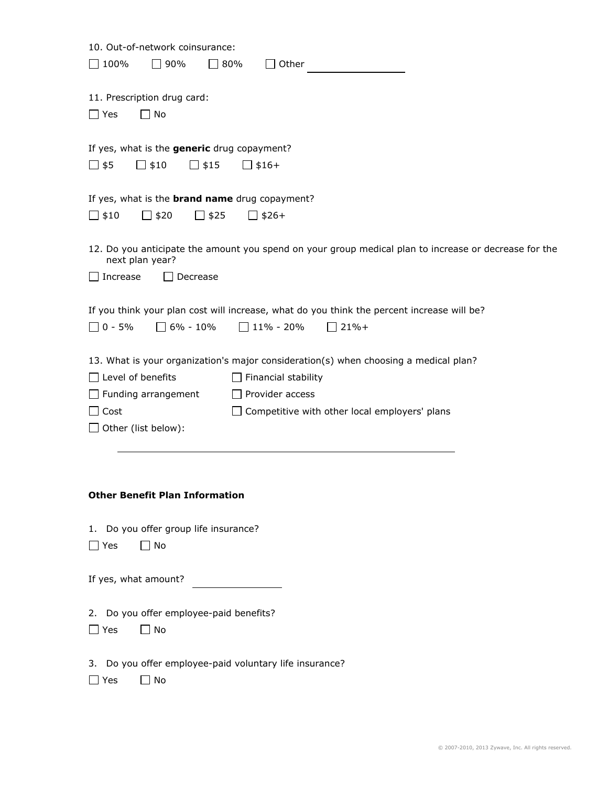| 10. Out-of-network coinsurance:                                                                                          |
|--------------------------------------------------------------------------------------------------------------------------|
| 100%<br>$\Box$ 90%<br>$\Box$ 80%<br>Other                                                                                |
|                                                                                                                          |
| 11. Prescription drug card:                                                                                              |
| No<br>$\Box$ Yes<br>$\mathbf{I}$                                                                                         |
|                                                                                                                          |
| If yes, what is the generic drug copayment?                                                                              |
| $\Box$ \$15<br>∐ \$5<br>\$10<br>$$16+$                                                                                   |
|                                                                                                                          |
|                                                                                                                          |
| If yes, what is the <b>brand name</b> drug copayment?                                                                    |
| $\Box$ \$10<br>$\Box$ \$20<br>$\Box$ \$25<br>$\Box$ \$26+                                                                |
|                                                                                                                          |
| 12. Do you anticipate the amount you spend on your group medical plan to increase or decrease for the<br>next plan year? |
| Increase<br>Decrease                                                                                                     |
|                                                                                                                          |
| If you think your plan cost will increase, what do you think the percent increase will be?                               |
| $0 - 5%$<br>$\Box$ 6% - 10%<br>$\Box$ 11% - 20%<br>$21% +$                                                               |
|                                                                                                                          |
| 13. What is your organization's major consideration(s) when choosing a medical plan?                                     |
|                                                                                                                          |
| Level of benefits<br>Financial stability                                                                                 |
| Funding arrangement<br>$\Box$ Provider access                                                                            |
| Competitive with other local employers' plans<br>Cost                                                                    |
| Other (list below):                                                                                                      |
|                                                                                                                          |
|                                                                                                                          |
|                                                                                                                          |
| <b>Other Benefit Plan Information</b>                                                                                    |
|                                                                                                                          |
| Do you offer group life insurance?<br>1.                                                                                 |
| $\Box$ No<br>__ Yes                                                                                                      |
|                                                                                                                          |
| If yes, what amount?                                                                                                     |
|                                                                                                                          |
| 2. Do you offer employee-paid benefits?                                                                                  |
| $\Box$ No<br>$\Box$ Yes                                                                                                  |
|                                                                                                                          |
| 3. Do you offer employee-paid voluntary life insurance?                                                                  |
|                                                                                                                          |
| No<br>_l Yes                                                                                                             |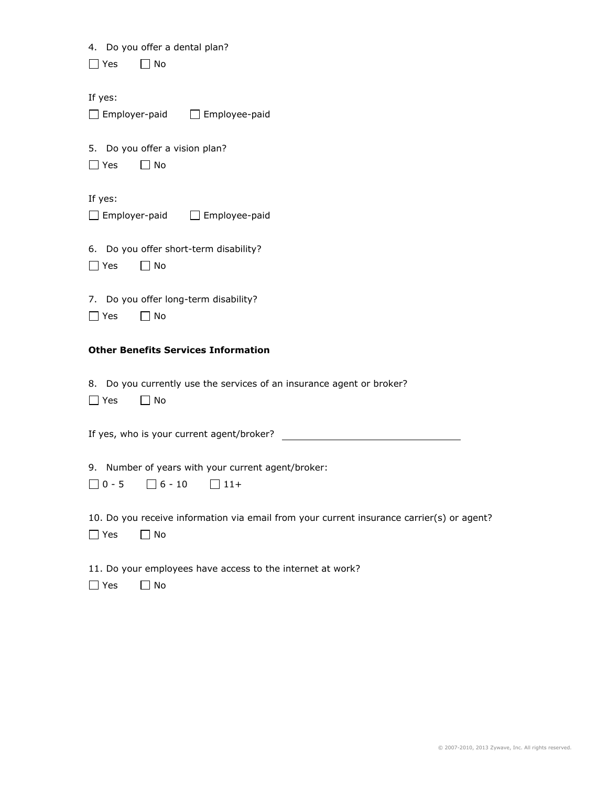|  |  |  |  |  | 4. Do you offer a dental plan? |  |
|--|--|--|--|--|--------------------------------|--|
|--|--|--|--|--|--------------------------------|--|

| l l Yes<br>l I No |
|-------------------|
|-------------------|

If yes:

| $\Box$ Employer-paid | $\Box$ Employee-paid |
|----------------------|----------------------|
|                      |                      |

5. Do you offer a vision plan?

|  |  | N٥ |
|--|--|----|
|--|--|----|

If yes:

□ Employer-paid □ Employee-paid

6. Do you offer short-term disability?

| AC | N٥ |
|----|----|
|----|----|

7. Do you offer long-term disability?

| ے ۔ | N٥ |
|-----|----|
|-----|----|

## **Other Benefits Services Information**

8. Do you currently use the services of an insurance agent or broker?

| 7۵۲) | N٥ |
|------|----|
|      |    |

If yes, who is your current agent/broker?

9. Number of years with your current agent/broker:

| $\Box$ 0 - 5 | $\Box$ 6 - 10 | $\Box$ 11+ |
|--------------|---------------|------------|
|              |               |            |

10. Do you receive information via email from your current insurance carrier(s) or agent?

□ Yes □ No

11. Do your employees have access to the internet at work?

 $\Box$  Yes  $\Box$  No